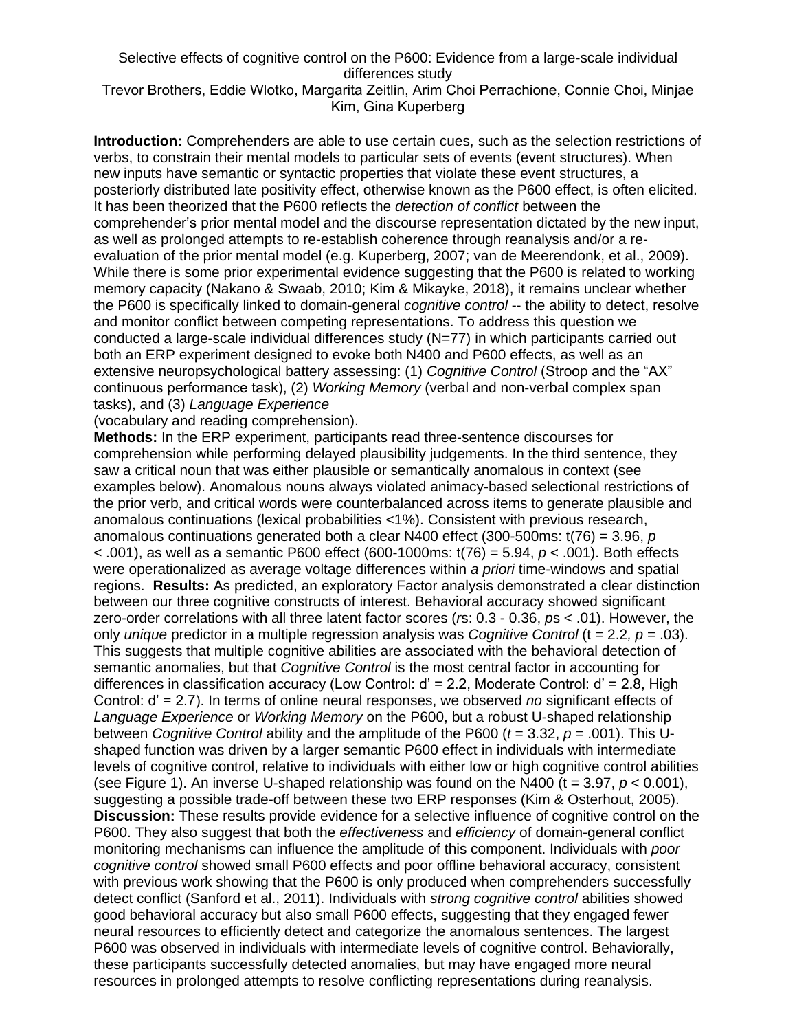## Selective effects of cognitive control on the P600: Evidence from a large-scale individual differences study

## Trevor Brothers, Eddie Wlotko, Margarita Zeitlin, Arim Choi Perrachione, Connie Choi, Minjae Kim, Gina Kuperberg

**Introduction:** Comprehenders are able to use certain cues, such as the selection restrictions of verbs, to constrain their mental models to particular sets of events (event structures). When new inputs have semantic or syntactic properties that violate these event structures, a posteriorly distributed late positivity effect, otherwise known as the P600 effect, is often elicited. It has been theorized that the P600 reflects the *detection of conflict* between the comprehender's prior mental model and the discourse representation dictated by the new input, as well as prolonged attempts to re-establish coherence through reanalysis and/or a reevaluation of the prior mental model (e.g. Kuperberg, 2007; van de Meerendonk, et al., 2009). While there is some prior experimental evidence suggesting that the P600 is related to working memory capacity (Nakano & Swaab, 2010; Kim & Mikayke, 2018), it remains unclear whether the P600 is specifically linked to domain-general *cognitive control* -- the ability to detect, resolve and monitor conflict between competing representations. To address this question we conducted a large-scale individual differences study (N=77) in which participants carried out both an ERP experiment designed to evoke both N400 and P600 effects, as well as an extensive neuropsychological battery assessing: (1) *Cognitive Control* (Stroop and the "AX" continuous performance task), (2) *Working Memory* (verbal and non-verbal complex span tasks), and (3) *Language Experience*

(vocabulary and reading comprehension).

**Methods:** In the ERP experiment, participants read three-sentence discourses for comprehension while performing delayed plausibility judgements. In the third sentence, they saw a critical noun that was either plausible or semantically anomalous in context (see examples below). Anomalous nouns always violated animacy-based selectional restrictions of the prior verb, and critical words were counterbalanced across items to generate plausible and anomalous continuations (lexical probabilities <1%). Consistent with previous research, anomalous continuations generated both a clear N400 effect (300-500ms: t(76) = 3.96, *p*  < .001), as well as a semantic P600 effect (600-1000ms: t(76) = 5.94, *p* < .001). Both effects were operationalized as average voltage differences within *a priori* time-windows and spatial regions. **Results:** As predicted, an exploratory Factor analysis demonstrated a clear distinction between our three cognitive constructs of interest. Behavioral accuracy showed significant zero-order correlations with all three latent factor scores (*r*s: 0.3 - 0.36, *p*s < .01). However, the only *unique* predictor in a multiple regression analysis was *Cognitive Control* (t = 2.2*, p* = .03). This suggests that multiple cognitive abilities are associated with the behavioral detection of semantic anomalies, but that *Cognitive Control* is the most central factor in accounting for differences in classification accuracy (Low Control: d' = 2.2, Moderate Control: d' = 2.8, High Control: d' = 2.7). In terms of online neural responses, we observed *no* significant effects of *Language Experience* or *Working Memory* on the P600, but a robust U-shaped relationship between *Cognitive Control* ability and the amplitude of the P600 (*t* = 3.32, *p* = .001). This Ushaped function was driven by a larger semantic P600 effect in individuals with intermediate levels of cognitive control, relative to individuals with either low or high cognitive control abilities (see Figure 1). An inverse U-shaped relationship was found on the N400 ( $t = 3.97$ ,  $p < 0.001$ ). suggesting a possible trade-off between these two ERP responses (Kim & Osterhout, 2005). **Discussion:** These results provide evidence for a selective influence of cognitive control on the P600. They also suggest that both the *effectiveness* and *efficiency* of domain-general conflict monitoring mechanisms can influence the amplitude of this component. Individuals with *poor cognitive control* showed small P600 effects and poor offline behavioral accuracy, consistent with previous work showing that the P600 is only produced when comprehenders successfully detect conflict (Sanford et al., 2011). Individuals with *strong cognitive control* abilities showed good behavioral accuracy but also small P600 effects, suggesting that they engaged fewer neural resources to efficiently detect and categorize the anomalous sentences. The largest P600 was observed in individuals with intermediate levels of cognitive control. Behaviorally, these participants successfully detected anomalies, but may have engaged more neural resources in prolonged attempts to resolve conflicting representations during reanalysis.